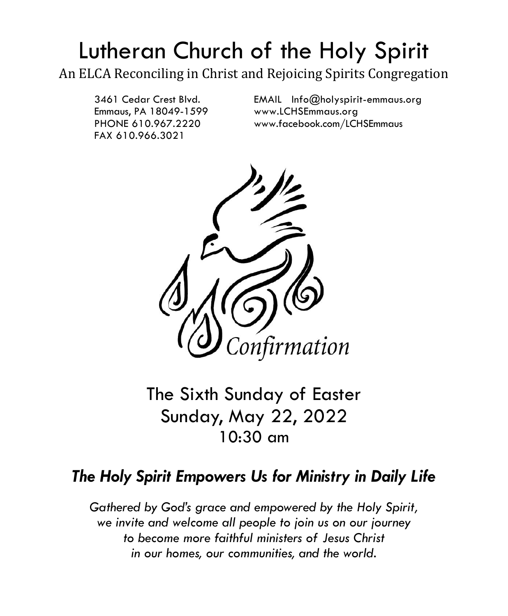# Lutheran Church of the Holy Spirit

An ELCA Reconciling in Christ and Rejoicing Spirits Congregation

Emmaus, PA 18049-1599 [www.LCHSEmmaus.org](http://www.lchsemmaus.org/) FAX 610.966.3021

3461 Cedar Crest Blvd. [EMAIL Info@holyspirit-emmaus.org](mailto:EMAIL%20%20Info@holyspirit-emmaus.org) PHONE 610.967.2220 [www.facebook.com/LCHSEmmaus](http://www.facebook.com/LCHSEmmaus)



The Sixth Sunday of Easter Sunday, May 22, 2022 10:30 am

### *The Holy Spirit Empowers Us for Ministry in Daily Life*

*Gathered by God's grace and empowered by the Holy Spirit, we invite and welcome all people to join us on our journey to become more faithful ministers of Jesus Christ in our homes, our communities, and the world.*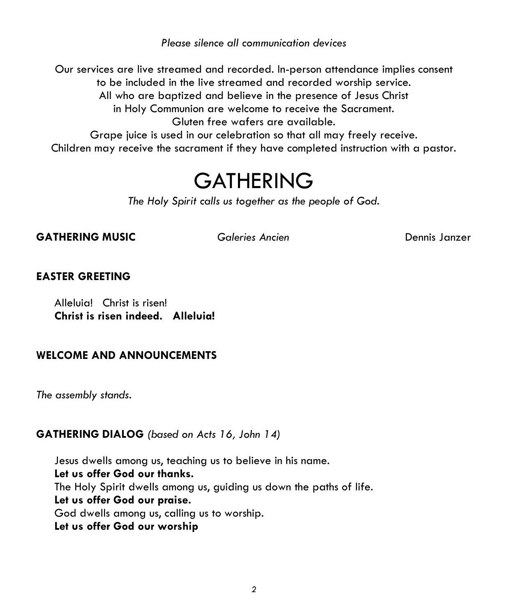*Please silence all communication devices*

Our services are live streamed and recorded. In-person attendance implies consent to be included in the live streamed and recorded worship service. All who are baptized and believe in the presence of Jesus Christ in Holy Communion are welcome to receive the Sacrament. Gluten free wafers are available. Grape juice is used in our celebration so that all may freely receive. Children may receive the sacrament if they have completed instruction with a pastor.

## **GATHERING**

*The Holy Spirit calls us together as the people of God.*

**GATHERING MUSIC** *Galeries Ancien* Dennis Janzer

### **EASTER GREETING**

Alleluia! Christ is risen! **Christ is risen indeed. Alleluia!**

### **WELCOME AND ANNOUNCEMENTS**

*The assembly stands.*

#### **GATHERING DIALOG** *(based on Acts 16, John 14)*

Jesus dwells among us, teaching us to believe in his name. **Let us offer God our thanks.** The Holy Spirit dwells among us, guiding us down the paths of life. **Let us offer God our praise.** God dwells among us, calling us to worship. **Let us offer God our worship**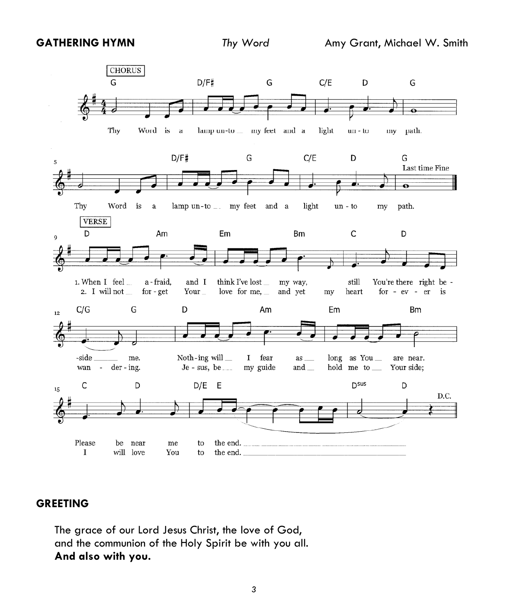

#### **GREETING**

The grace of our Lord Jesus Christ, the love of God, and the communion of the Holy Spirit be with you all. **And also with you.**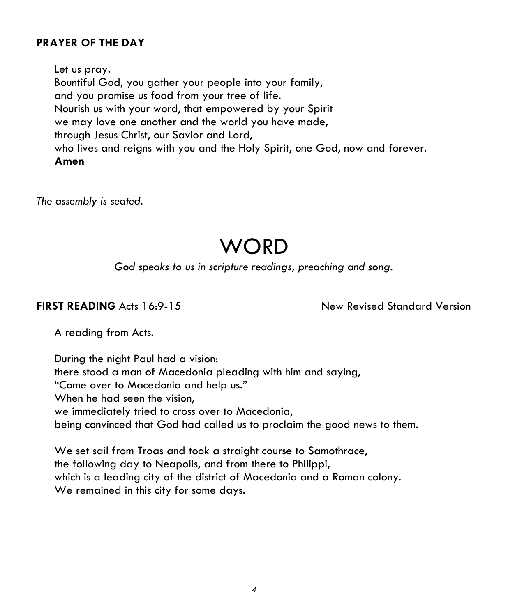#### **PRAYER OF THE DAY**

Let us pray. Bountiful God, you gather your people into your family, and you promise us food from your tree of life. Nourish us with your word, that empowered by your Spirit we may love one another and the world you have made, through Jesus Christ, our Savior and Lord, who lives and reigns with you and the Holy Spirit, one God, now and forever. **Amen**

*The assembly is seated.*

## **WORD**

*God speaks to us in scripture readings, preaching and song.*

**FIRST READING** Acts 16:9-15 New Revised Standard Version

A reading from Acts.

During the night Paul had a vision: there stood a man of Macedonia pleading with him and saying, "Come over to Macedonia and help us." When he had seen the vision, we immediately tried to cross over to Macedonia, being convinced that God had called us to proclaim the good news to them.

We set sail from Troas and took a straight course to Samothrace, the following day to Neapolis, and from there to Philippi, which is a leading city of the district of Macedonia and a Roman colony. We remained in this city for some days.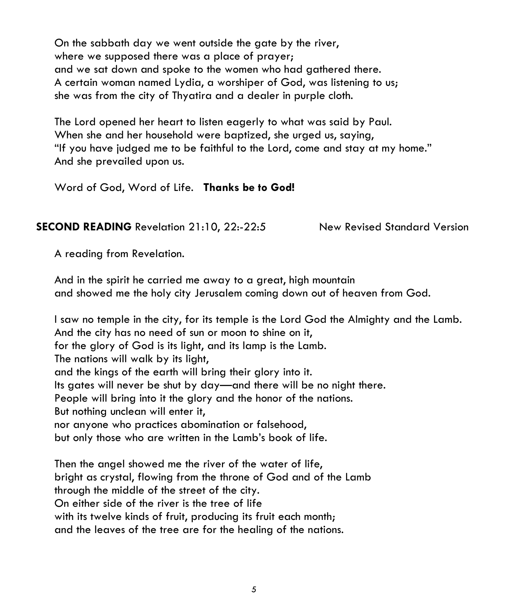On the sabbath day we went outside the gate by the river, where we supposed there was a place of prayer; and we sat down and spoke to the women who had gathered there. A certain woman named Lydia, a worshiper of God, was listening to us; she was from the city of Thyatira and a dealer in purple cloth.

The Lord opened her heart to listen eagerly to what was said by Paul. When she and her household were baptized, she urged us, saying, "If you have judged me to be faithful to the Lord, come and stay at my home." And she prevailed upon us.

Word of God, Word of Life. **Thanks be to God!**

**SECOND READING** Revelation 21:10, 22:-22:5 New Revised Standard Version

A reading from Revelation.

And in the spirit he carried me away to a great, high mountain and showed me the holy city Jerusalem coming down out of heaven from God.

I saw no temple in the city, for its temple is the Lord God the Almighty and the Lamb. And the city has no need of sun or moon to shine on it, for the glory of God is its light, and its lamp is the Lamb. The nations will walk by its light, and the kings of the earth will bring their glory into it. Its gates will never be shut by day—and there will be no night there. People will bring into it the glory and the honor of the nations. But nothing unclean will enter it, nor anyone who practices abomination or falsehood, but only those who are written in the Lamb's book of life.

Then the angel showed me the river of the water of life, bright as crystal, flowing from the throne of God and of the Lamb through the middle of the street of the city. On either side of the river is the tree of life with its twelve kinds of fruit, producing its fruit each month; and the leaves of the tree are for the healing of the nations.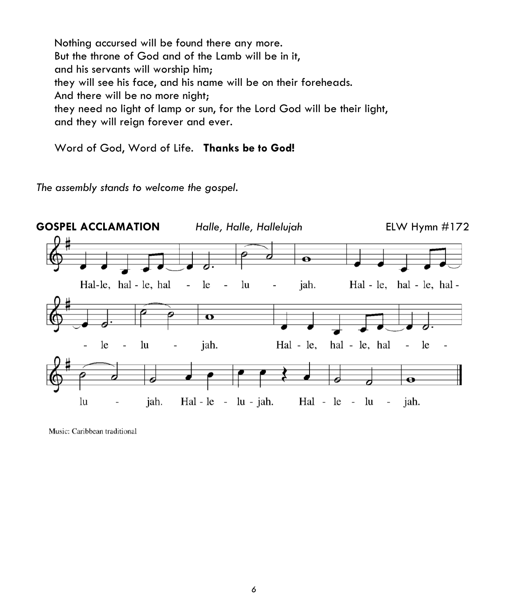Nothing accursed will be found there any more. But the throne of God and of the Lamb will be in it, and his servants will worship him; they will see his face, and his name will be on their foreheads. And there will be no more night; they need no light of lamp or sun, for the Lord God will be their light, and they will reign forever and ever.

Word of God, Word of Life. **Thanks be to God!**

*The assembly stands to welcome the gospel.*



Music: Caribbean traditional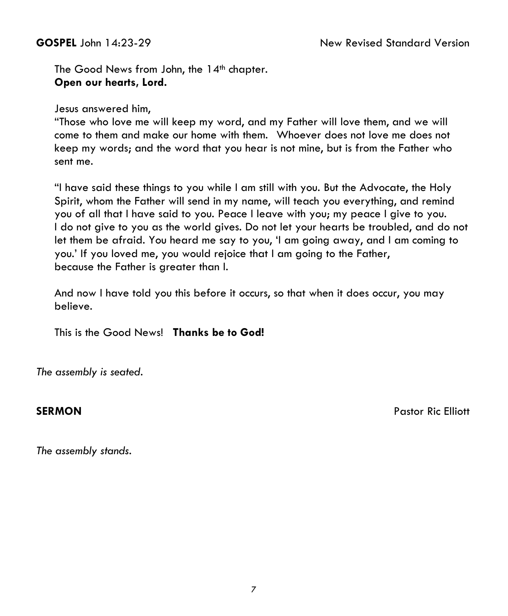The Good News from John, the  $14<sup>th</sup>$  chapter. **Open our hearts, Lord.**

Jesus answered him,

"Those who love me will keep my word, and my Father will love them, and we will come to them and make our home with them. Whoever does not love me does not keep my words; and the word that you hear is not mine, but is from the Father who sent me.

"I have said these things to you while I am still with you. But the Advocate, the Holy Spirit, whom the Father will send in my name, will teach you everything, and remind you of all that I have said to you. Peace I leave with you; my peace I give to you. I do not give to you as the world gives. Do not let your hearts be troubled, and do not let them be afraid. You heard me say to you, 'I am going away, and I am coming to you.' If you loved me, you would rejoice that I am going to the Father, because the Father is greater than I.

And now I have told you this before it occurs, so that when it does occur, you may believe.

This is the Good News! **Thanks be to God!** 

*The assembly is seated.*

**SERMON** Pastor Ric Elliott

*The assembly stands.*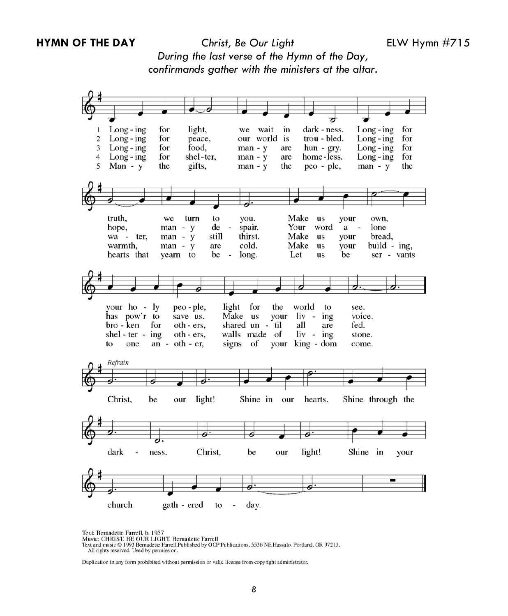**HYMN OF THE DAY** *Christ, Be Our Light* **<b>ELW Hymn #715** *During the last verse of the Hymn of the Day, confirmands gather with the ministers at the altar.*



Text: Bernadette Farrell, b. 1957

Music: CHRIST, BE OUR LIGHT, Bernadette Farrell<br>Text and music © 1993 Bernadette Farrell.Published by OCP Publications, 5536 NE Hassalo, Portland, OR 97213.

All rights reserved. Used by permission.

Duplication in any form prohibited without permission or valid license from copyright administrator.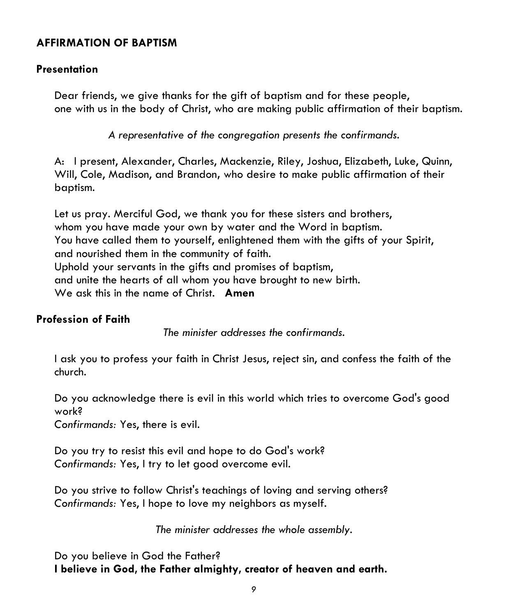#### **AFFIRMATION OF BAPTISM**

#### **Presentation**

Dear friends, we give thanks for the gift of baptism and for these people, one with us in the body of Christ, who are making public affirmation of their baptism.

*A representative of the congregation presents the confirmands.*

A: I present, Alexander, Charles, Mackenzie, Riley, Joshua, Elizabeth, Luke, Quinn, Will, Cole, Madison, and Brandon**,** who desire to make public affirmation of their baptism.

Let us pray. Merciful God, we thank you for these sisters and brothers, whom you have made your own by water and the Word in baptism. You have called them to yourself, enlightened them with the gifts of your Spirit, and nourished them in the community of faith. Uphold your servants in the gifts and promises of baptism, and unite the hearts of all whom you have brought to new birth. We ask this in the name of Christ. **Amen**

#### **Profession of Faith**

*The minister addresses the confirmands.*

I ask you to profess your faith in Christ Jesus, reject sin, and confess the faith of the church.

Do you acknowledge there is evil in this world which tries to overcome God's good work?

*Confirmands:* Yes, there is evil.

Do you try to resist this evil and hope to do God's work? *Confirmands:* Yes, I try to let good overcome evil.

Do you strive to follow Christ's teachings of loving and serving others? *Confirmands:* Yes, I hope to love my neighbors as myself.

*The minister addresses the whole assembly.*

Do you believe in God the Father?

**I believe in God, the Father almighty, creator of heaven and earth.**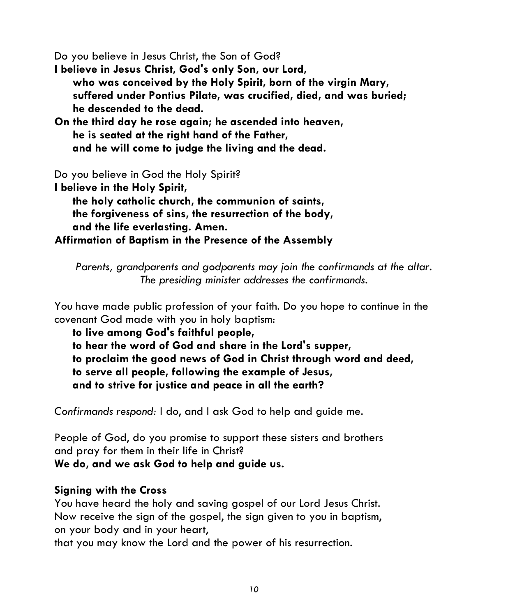Do you believe in Jesus Christ, the Son of God?

**I believe in Jesus Christ, God's only Son, our Lord, who was conceived by the Holy Spirit, born of the virgin Mary, suffered under Pontius Pilate, was crucified, died, and was buried; he descended to the dead.**

**On the third day he rose again; he ascended into heaven, he is seated at the right hand of the Father, and he will come to judge the living and the dead.**

Do you believe in God the Holy Spirit?

**I believe in the Holy Spirit, the holy catholic church, the communion of saints, the forgiveness of sins, the resurrection of the body, and the life everlasting. Amen. Affirmation of Baptism in the Presence of the Assembly**

*Parents, grandparents and godparents may join the confirmands at the altar. The presiding minister addresses the confirmands.*

You have made public profession of your faith. Do you hope to continue in the covenant God made with you in holy baptism:

**to live among God's faithful people, to hear the word of God and share in the Lord's supper, to proclaim the good news of God in Christ through word and deed, to serve all people, following the example of Jesus, and to strive for justice and peace in all the earth?**

*Confirmands respond:* I do, and I ask God to help and guide me.

People of God, do you promise to support these sisters and brothers and pray for them in their life in Christ? **We do, and we ask God to help and guide us.**

#### **Signing with the Cross**

You have heard the holy and saving gospel of our Lord Jesus Christ. Now receive the sign of the gospel, the sign given to you in baptism, on your body and in your heart,

that you may know the Lord and the power of his resurrection.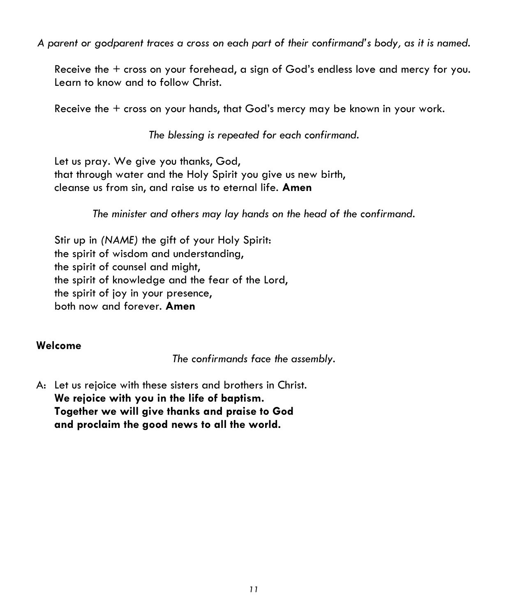*A parent or godparent traces a cross on each part of their confirmand's body, as it is named.*

Receive the + cross on your forehead, a sign of God's endless love and mercy for you. Learn to know and to follow Christ.

Receive the + cross on your hands, that God's mercy may be known in your work.

*The blessing is repeated for each confirmand.*

Let us pray. We give you thanks, God, that through water and the Holy Spirit you give us new birth, cleanse us from sin, and raise us to eternal life. **Amen**

*The minister and others may lay hands on the head of the confirmand.*

Stir up in *(NAME)* the gift of your Holy Spirit: the spirit of wisdom and understanding, the spirit of counsel and might, the spirit of knowledge and the fear of the Lord, the spirit of joy in your presence, both now and forever. **Amen**

#### **Welcome**

*The confirmands face the assembly.*

A: Let us rejoice with these sisters and brothers in Christ. **We rejoice with you in the life of baptism. Together we will give thanks and praise to God and proclaim the good news to all the world.**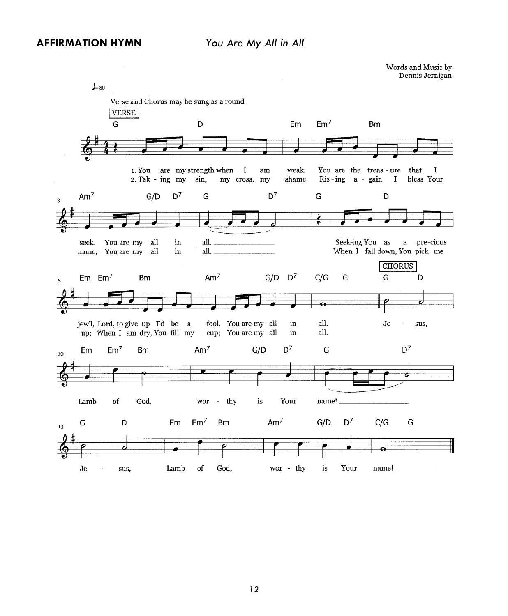Words and Music by Dennis Jernigan

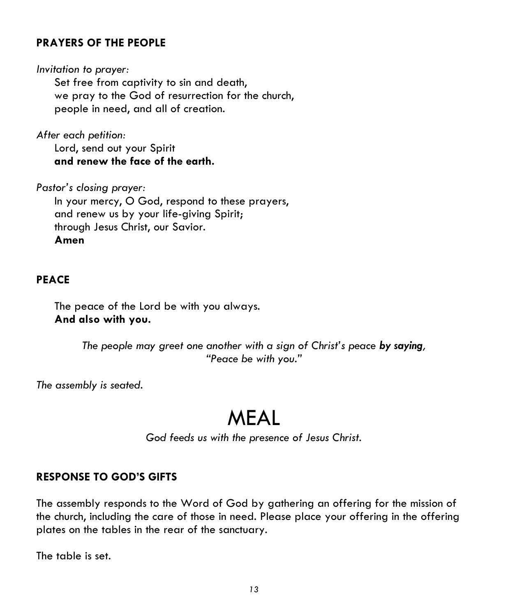### **PRAYERS OF THE PEOPLE**

#### *Invitation to prayer:*

Set free from captivity to sin and death, we pray to the God of resurrection for the church, people in need, and all of creation.

*After each petition:* Lord, send out your Spirit **and renew the face of the earth.**

*Pastor's closing prayer:*

In your mercy, O God, respond to these prayers, and renew us by your life-giving Spirit; through Jesus Christ, our Savior. **Amen**

#### **PEACE**

The peace of the Lord be with you always. **And also with you.**

> *The people may greet one another with a sign of Christ's peace by saying, "Peace be with you."*

*The assembly is seated.*

## **MFAL**

*God feeds us with the presence of Jesus Christ.*

#### **RESPONSE TO GOD'S GIFTS**

The assembly responds to the Word of God by gathering an offering for the mission of the church, including the care of those in need. Please place your offering in the offering plates on the tables in the rear of the sanctuary.

The table is set.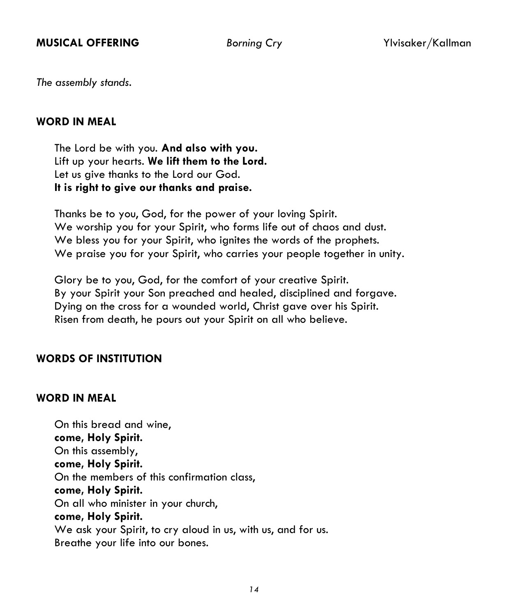*The assembly stands.*

#### **WORD IN MEAL**

The Lord be with you. **And also with you.** Lift up your hearts. **We lift them to the Lord.** Let us give thanks to the Lord our God. **It is right to give our thanks and praise.**

Thanks be to you, God, for the power of your loving Spirit. We worship you for your Spirit, who forms life out of chaos and dust. We bless you for your Spirit, who ignites the words of the prophets. We praise you for your Spirit, who carries your people together in unity.

Glory be to you, God, for the comfort of your creative Spirit. By your Spirit your Son preached and healed, disciplined and forgave. Dying on the cross for a wounded world, Christ gave over his Spirit. Risen from death, he pours out your Spirit on all who believe.

#### **WORDS OF INSTITUTION**

#### **WORD IN MEAL**

On this bread and wine, **come, Holy Spirit.** On this assembly, **come, Holy Spirit.** On the members of this confirmation class, **come, Holy Spirit.** On all who minister in your church, **come, Holy Spirit.** We ask your Spirit, to cry aloud in us, with us, and for us. Breathe your life into our bones.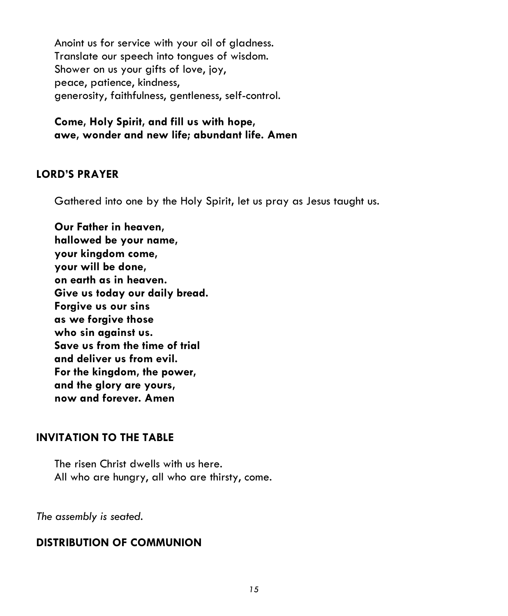Anoint us for service with your oil of gladness. Translate our speech into tongues of wisdom. Shower on us your gifts of love, joy, peace, patience, kindness, generosity, faithfulness, gentleness, self-control.

#### **Come, Holy Spirit, and fill us with hope, awe, wonder and new life; abundant life. Amen**

#### **LORD'S PRAYER**

Gathered into one by the Holy Spirit**,** let us pray as Jesus taught us.

**Our Father in heaven, hallowed be your name, your kingdom come, your will be done, on earth as in heaven. Give us today our daily bread. Forgive us our sins as we forgive those who sin against us. Save us from the time of trial and deliver us from evil. For the kingdom, the power, and the glory are yours, now and forever. Amen**

#### **INVITATION TO THE TABLE**

The risen Christ dwells with us here. All who are hungry, all who are thirsty, come.

*The assembly is seated.*

### **DISTRIBUTION OF COMMUNION**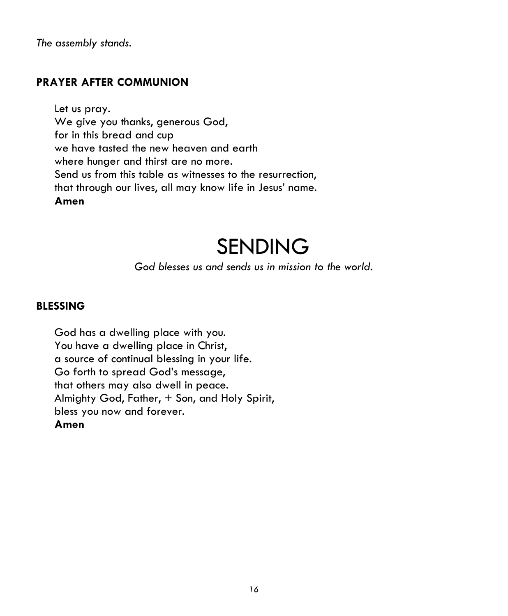*The assembly stands.*

#### **PRAYER AFTER COMMUNION**

Let us pray. We give you thanks, generous God, for in this bread and cup we have tasted the new heaven and earth where hunger and thirst are no more. Send us from this table as witnesses to the resurrection, that through our lives, all may know life in Jesus' name. **Amen**

## SENDING

*God blesses us and sends us in mission to the world.*

#### **BLESSING**

God has a dwelling place with you. You have a dwelling place in Christ, a source of continual blessing in your life. Go forth to spread God's message, that others may also dwell in peace. Almighty God, Father, + Son, and Holy Spirit, bless you now and forever. **Amen**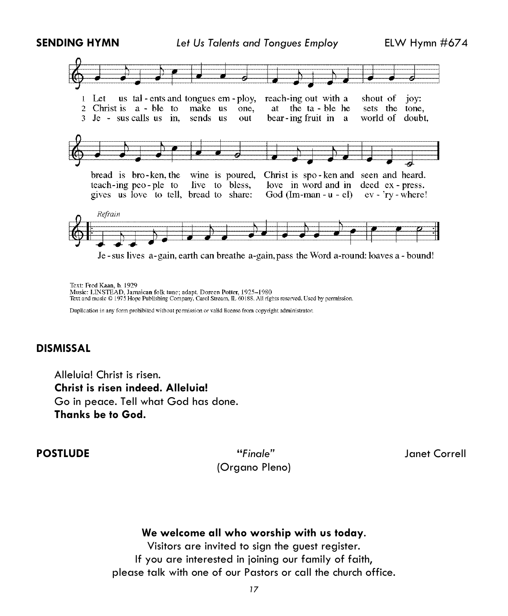

Text: Fred Kaan, b. 1929 Music: LINSTEAD, Jamaican folk tune; adapt. Doreen Potter, 1925-1980<br>Text and music © 1975 Hope Publishing Company, Carol Stream, IL 60188. All rights reserved. Used by permission.

Duplication in any form prohibited without permission or valid license from copyright administrator.

#### **DISMISSAL**

Alleluia! Christ is risen. **Christ is risen indeed. Alleluia!** Go in peace. Tell what God has done. **Thanks be to God.**

**POSTLUDE "***Finale"* Janet Correll (Organo Pleno)

#### **We welcome all who worship with us today**.

Visitors are invited to sign the guest register. If you are interested in joining our family of faith, please talk with one of our Pastors or call the church office.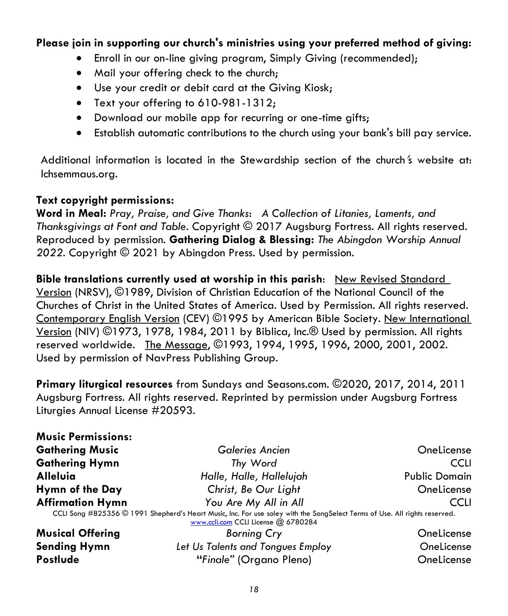#### **Please join in supporting our church's ministries using your preferred method of giving:**

- Enroll in our on-line giving program, Simply Giving (recommended);
- Mail your offering check to the church;
- Use your credit or debit card at the Giving Kiosk;
- Text your offering to 610-981-1312;
- Download our mobile app for recurring or one-time gifts;
- Establish automatic contributions to the church using your bank's bill pay service.

Additional information is located in the Stewardship section of the church 's website at: lchsemmaus.org.

#### **Text copyright permissions:**

**Word in Meal:** *Pray, Praise, and Give Thanks*: *A Collection of Litanies, Laments, and Thanksgivings at Font and Table*. Copyright © 2017 Augsburg Fortress. All rights reserved. Reproduced by permission. **Gathering Dialog & Blessing:** *The Abingdon Worship Annual 2022.* Copyright © 2021 by Abingdon Press. Used by permission.

**Bible translations currently used at worship in this parish**: New Revised Standard Version (NRSV), ©1989, Division of Christian Education of the National Council of the Churches of Christ in the United States of America. Used by Permission. All rights reserved. Contemporary English Version (CEV) ©1995 by American Bible Society. New International Version (NIV) ©1973, 1978, 1984, 2011 by Biblica, Inc.® Used by permission. All rights reserved worldwide. The Message, ©1993, 1994, 1995, 1996, 2000, 2001, 2002. Used by permission of NavPress Publishing Group.

**Primary liturgical resources** from Sundays and Seasons.com. ©2020, 2017, 2014, 2011 Augsburg Fortress. All rights reserved. Reprinted by permission under Augsburg Fortress Liturgies Annual License #20593.

| <b>Music Permissions:</b> |                                                                                                                                                                   |                      |
|---------------------------|-------------------------------------------------------------------------------------------------------------------------------------------------------------------|----------------------|
| <b>Gathering Music</b>    | Galeries Ancien                                                                                                                                                   | OneLicense           |
| <b>Gathering Hymn</b>     | Thy Word                                                                                                                                                          | <b>CCLI</b>          |
| <b>Alleluia</b>           | Halle, Halle, Hallelujah                                                                                                                                          | <b>Public Domain</b> |
| Hymn of the Day           | Christ, Be Our Light                                                                                                                                              | OneLicense           |
| <b>Affirmation Hymn</b>   | You Are My All in All                                                                                                                                             | <b>CCLI</b>          |
|                           | CCLI Song #825356 © 1991 Shepherd's Heart Music, Inc. For use soley with the SongSelect Terms of Use. All rights reserved.<br>www.ccli.com CCLI License @ 6780284 |                      |
| <b>Musical Offering</b>   | <b>Borning Cry</b>                                                                                                                                                | OneLicense           |
| <b>Sending Hymn</b>       | Let Us Talents and Tongues Employ                                                                                                                                 | OneLicense           |
| <b>Postlude</b>           | "Finale" (Organo Pleno)                                                                                                                                           | OneLicense           |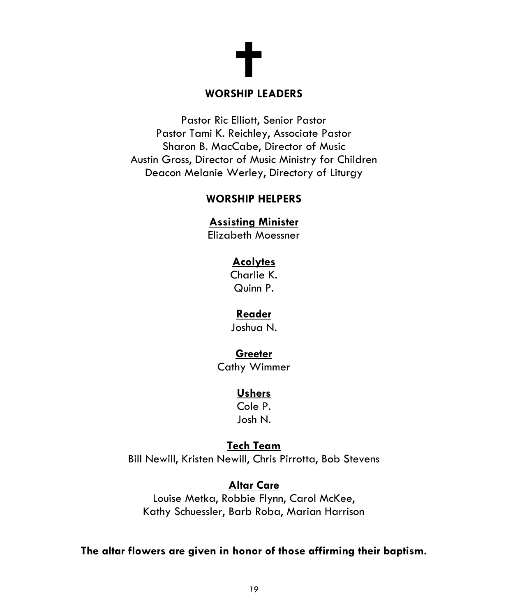

#### **WORSHIP LEADERS**

Pastor Ric Elliott, Senior Pastor Pastor Tami K. Reichley, Associate Pastor Sharon B. MacCabe, Director of Music Austin Gross, Director of Music Ministry for Children Deacon Melanie Werley, Directory of Liturgy

#### **WORSHIP HELPERS**

#### **Assisting Minister**

Elizabeth Moessner

### **Acolytes**

Charlie K. Quinn P.

#### **Reader**

Joshua N.

### **Greeter**

Cathy Wimmer

### **Ushers**

Cole P. Josh N.

### **Tech Team**

Bill Newill, Kristen Newill, Chris Pirrotta, Bob Stevens

### **Altar Care**

Louise Metka, Robbie Flynn, Carol McKee, Kathy Schuessler, Barb Roba, Marian Harrison

#### **The altar flowers are given in honor of those affirming their baptism.**